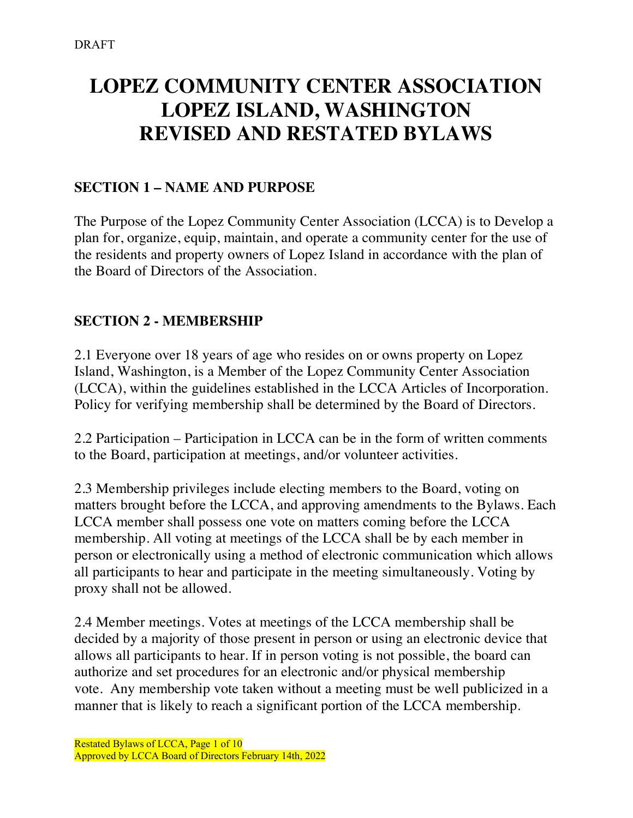# **LOPEZ COMMUNITY CENTER ASSOCIATION LOPEZ ISLAND, WASHINGTON REVISED AND RESTATED BYLAWS**

## **SECTION 1 – NAME AND PURPOSE**

The Purpose of the Lopez Community Center Association (LCCA) is to Develop a plan for, organize, equip, maintain, and operate a community center for the use of the residents and property owners of Lopez Island in accordance with the plan of the Board of Directors of the Association.

## **SECTION 2 - MEMBERSHIP**

2.1 Everyone over 18 years of age who resides on or owns property on Lopez Island, Washington, is a Member of the Lopez Community Center Association (LCCA), within the guidelines established in the LCCA Articles of Incorporation. Policy for verifying membership shall be determined by the Board of Directors.

2.2 Participation – Participation in LCCA can be in the form of written comments to the Board, participation at meetings, and/or volunteer activities.

2.3 Membership privileges include electing members to the Board, voting on matters brought before the LCCA, and approving amendments to the Bylaws. Each LCCA member shall possess one vote on matters coming before the LCCA membership. All voting at meetings of the LCCA shall be by each member in person or electronically using a method of electronic communication which allows all participants to hear and participate in the meeting simultaneously. Voting by proxy shall not be allowed.

2.4 Member meetings. Votes at meetings of the LCCA membership shall be decided by a majority of those present in person or using an electronic device that allows all participants to hear. If in person voting is not possible, the board can authorize and set procedures for an electronic and/or physical membership vote. Any membership vote taken without a meeting must be well publicized in a manner that is likely to reach a significant portion of the LCCA membership.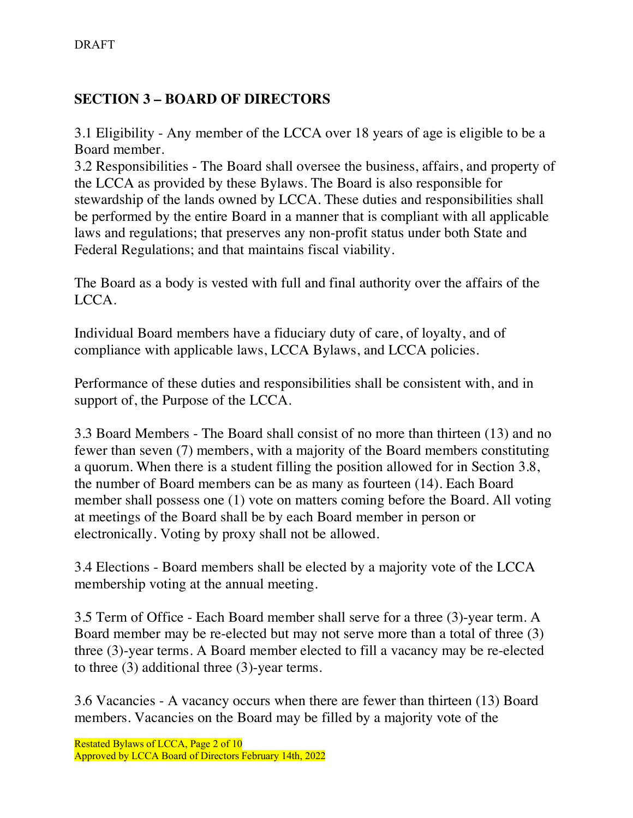# **SECTION 3 – BOARD OF DIRECTORS**

3.1 Eligibility - Any member of the LCCA over 18 years of age is eligible to be a Board member.

3.2 Responsibilities - The Board shall oversee the business, affairs, and property of the LCCA as provided by these Bylaws. The Board is also responsible for stewardship of the lands owned by LCCA. These duties and responsibilities shall be performed by the entire Board in a manner that is compliant with all applicable laws and regulations; that preserves any non-profit status under both State and Federal Regulations; and that maintains fiscal viability.

The Board as a body is vested with full and final authority over the affairs of the LCCA.

Individual Board members have a fiduciary duty of care, of loyalty, and of compliance with applicable laws, LCCA Bylaws, and LCCA policies.

Performance of these duties and responsibilities shall be consistent with, and in support of, the Purpose of the LCCA.

3.3 Board Members - The Board shall consist of no more than thirteen (13) and no fewer than seven (7) members, with a majority of the Board members constituting a quorum. When there is a student filling the position allowed for in Section 3.8, the number of Board members can be as many as fourteen (14). Each Board member shall possess one (1) vote on matters coming before the Board. All voting at meetings of the Board shall be by each Board member in person or electronically. Voting by proxy shall not be allowed.

3.4 Elections - Board members shall be elected by a majority vote of the LCCA membership voting at the annual meeting.

3.5 Term of Office - Each Board member shall serve for a three (3)-year term. A Board member may be re-elected but may not serve more than a total of three (3) three (3)-year terms. A Board member elected to fill a vacancy may be re-elected to three (3) additional three (3)-year terms.

3.6 Vacancies - A vacancy occurs when there are fewer than thirteen (13) Board members. Vacancies on the Board may be filled by a majority vote of the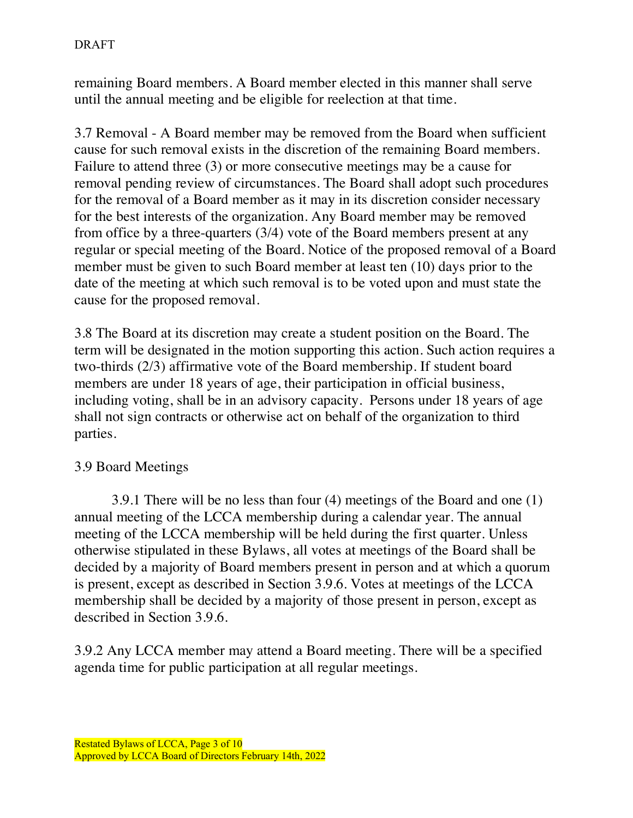remaining Board members. A Board member elected in this manner shall serve until the annual meeting and be eligible for reelection at that time.

3.7 Removal - A Board member may be removed from the Board when sufficient cause for such removal exists in the discretion of the remaining Board members. Failure to attend three (3) or more consecutive meetings may be a cause for removal pending review of circumstances. The Board shall adopt such procedures for the removal of a Board member as it may in its discretion consider necessary for the best interests of the organization. Any Board member may be removed from office by a three-quarters (3/4) vote of the Board members present at any regular or special meeting of the Board. Notice of the proposed removal of a Board member must be given to such Board member at least ten (10) days prior to the date of the meeting at which such removal is to be voted upon and must state the cause for the proposed removal.

3.8 The Board at its discretion may create a student position on the Board. The term will be designated in the motion supporting this action. Such action requires a two-thirds (2/3) affirmative vote of the Board membership. If student board members are under 18 years of age, their participation in official business, including voting, shall be in an advisory capacity. Persons under 18 years of age shall not sign contracts or otherwise act on behalf of the organization to third parties.

#### 3.9 Board Meetings

3.9.1 There will be no less than four (4) meetings of the Board and one (1) annual meeting of the LCCA membership during a calendar year. The annual meeting of the LCCA membership will be held during the first quarter. Unless otherwise stipulated in these Bylaws, all votes at meetings of the Board shall be decided by a majority of Board members present in person and at which a quorum is present, except as described in Section 3.9.6. Votes at meetings of the LCCA membership shall be decided by a majority of those present in person, except as described in Section 3.9.6.

3.9.2 Any LCCA member may attend a Board meeting. There will be a specified agenda time for public participation at all regular meetings.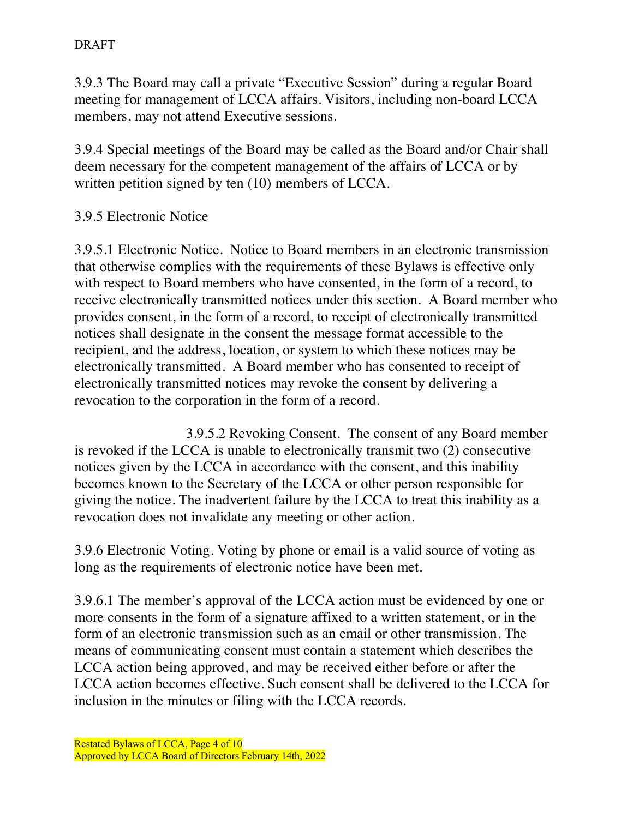3.9.3 The Board may call a private "Executive Session" during a regular Board meeting for management of LCCA affairs. Visitors, including non-board LCCA members, may not attend Executive sessions.

3.9.4 Special meetings of the Board may be called as the Board and/or Chair shall deem necessary for the competent management of the affairs of LCCA or by written petition signed by ten (10) members of LCCA.

## 3.9.5 Electronic Notice

3.9.5.1 Electronic Notice.Notice to Board members in an electronic transmission that otherwise complies with the requirements of these Bylaws is effective only with respect to Board members who have consented, in the form of a record, to receive electronically transmitted notices under this section. A Board member who provides consent, in the form of a record, to receipt of electronically transmitted notices shall designate in the consent the message format accessible to the recipient, and the address, location, or system to which these notices may be electronically transmitted. A Board member who has consented to receipt of electronically transmitted notices may revoke the consent by delivering a revocation to the corporation in the form of a record.

3.9.5.2 Revoking Consent. The consent of any Board member is revoked if the LCCA is unable to electronically transmit two (2) consecutive notices given by the LCCA in accordance with the consent, and this inability becomes known to the Secretary of the LCCA or other person responsible for giving the notice. The inadvertent failure by the LCCA to treat this inability as a revocation does not invalidate any meeting or other action.

3.9.6 Electronic Voting. Voting by phone or email is a valid source of voting as long as the requirements of electronic notice have been met.

3.9.6.1 The member's approval of the LCCA action must be evidenced by one or more consents in the form of a signature affixed to a written statement, or in the form of an electronic transmission such as an email or other transmission. The means of communicating consent must contain a statement which describes the LCCA action being approved, and may be received either before or after the LCCA action becomes effective. Such consent shall be delivered to the LCCA for inclusion in the minutes or filing with the LCCA records.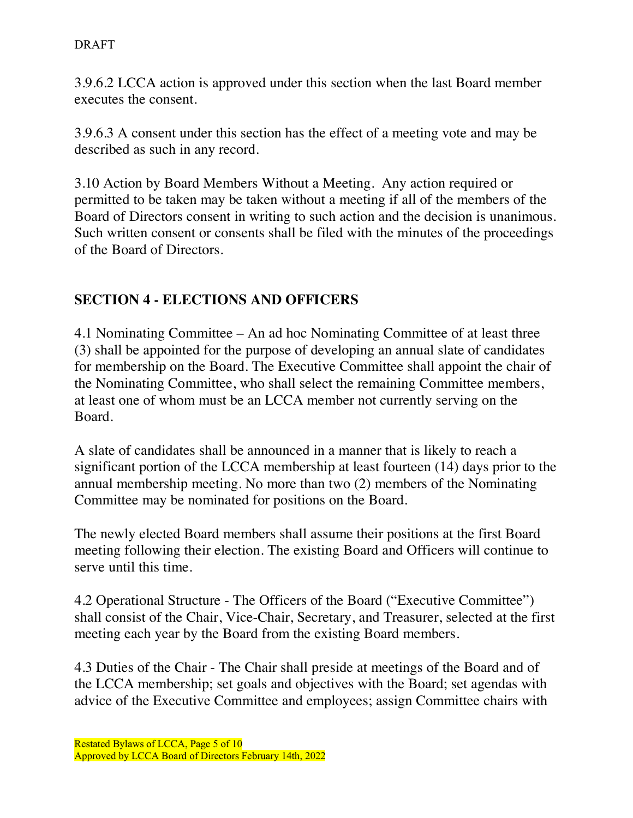3.9.6.2 LCCA action is approved under this section when the last Board member executes the consent.

3.9.6.3 A consent under this section has the effect of a meeting vote and may be described as such in any record.

3.10 Action by Board Members Without a Meeting. Any action required or permitted to be taken may be taken without a meeting if all of the members of the Board of Directors consent in writing to such action and the decision is unanimous. Such written consent or consents shall be filed with the minutes of the proceedings of the Board of Directors.

# **SECTION 4 - ELECTIONS AND OFFICERS**

4.1 Nominating Committee – An ad hoc Nominating Committee of at least three (3) shall be appointed for the purpose of developing an annual slate of candidates for membership on the Board. The Executive Committee shall appoint the chair of the Nominating Committee, who shall select the remaining Committee members, at least one of whom must be an LCCA member not currently serving on the Board.

A slate of candidates shall be announced in a manner that is likely to reach a significant portion of the LCCA membership at least fourteen (14) days prior to the annual membership meeting. No more than two (2) members of the Nominating Committee may be nominated for positions on the Board.

The newly elected Board members shall assume their positions at the first Board meeting following their election. The existing Board and Officers will continue to serve until this time.

4.2 Operational Structure - The Officers of the Board ("Executive Committee") shall consist of the Chair, Vice-Chair, Secretary, and Treasurer, selected at the first meeting each year by the Board from the existing Board members.

4.3 Duties of the Chair - The Chair shall preside at meetings of the Board and of the LCCA membership; set goals and objectives with the Board; set agendas with advice of the Executive Committee and employees; assign Committee chairs with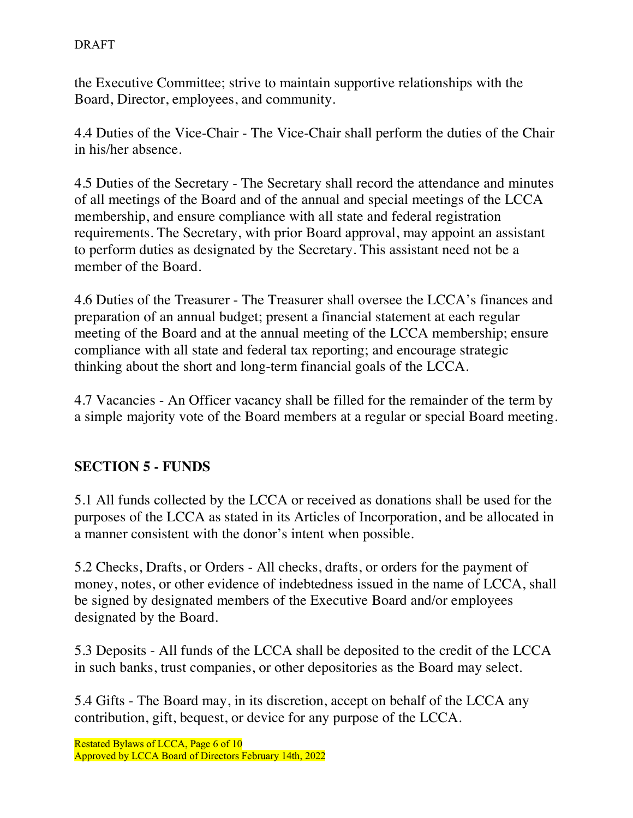the Executive Committee; strive to maintain supportive relationships with the Board, Director, employees, and community.

4.4 Duties of the Vice-Chair - The Vice-Chair shall perform the duties of the Chair in his/her absence.

4.5 Duties of the Secretary - The Secretary shall record the attendance and minutes of all meetings of the Board and of the annual and special meetings of the LCCA membership, and ensure compliance with all state and federal registration requirements. The Secretary, with prior Board approval, may appoint an assistant to perform duties as designated by the Secretary. This assistant need not be a member of the Board.

4.6 Duties of the Treasurer - The Treasurer shall oversee the LCCA's finances and preparation of an annual budget; present a financial statement at each regular meeting of the Board and at the annual meeting of the LCCA membership; ensure compliance with all state and federal tax reporting; and encourage strategic thinking about the short and long-term financial goals of the LCCA.

4.7 Vacancies - An Officer vacancy shall be filled for the remainder of the term by a simple majority vote of the Board members at a regular or special Board meeting.

# **SECTION 5 - FUNDS**

5.1 All funds collected by the LCCA or received as donations shall be used for the purposes of the LCCA as stated in its Articles of Incorporation, and be allocated in a manner consistent with the donor's intent when possible.

5.2 Checks, Drafts, or Orders - All checks, drafts, or orders for the payment of money, notes, or other evidence of indebtedness issued in the name of LCCA, shall be signed by designated members of the Executive Board and/or employees designated by the Board.

5.3 Deposits - All funds of the LCCA shall be deposited to the credit of the LCCA in such banks, trust companies, or other depositories as the Board may select.

5.4 Gifts - The Board may, in its discretion, accept on behalf of the LCCA any contribution, gift, bequest, or device for any purpose of the LCCA.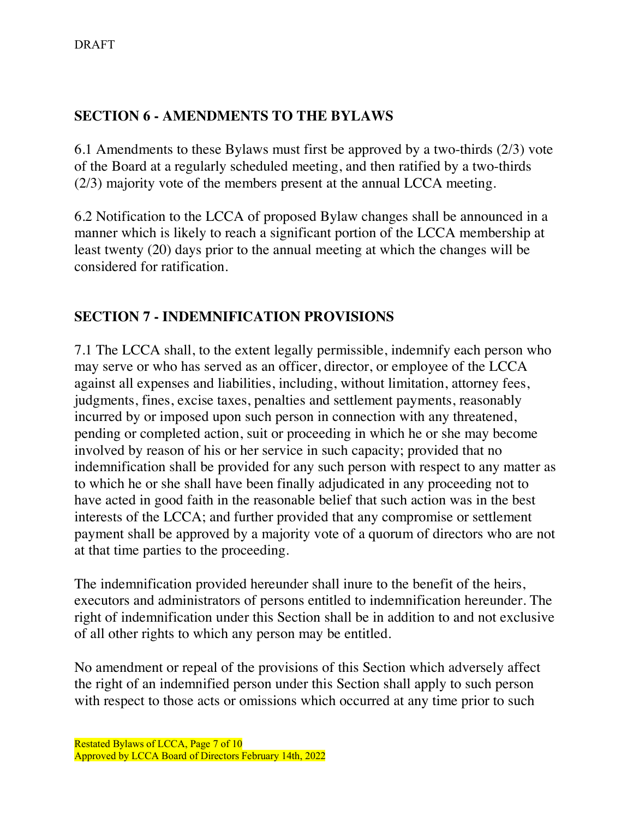# **SECTION 6 - AMENDMENTS TO THE BYLAWS**

6.1 Amendments to these Bylaws must first be approved by a two-thirds (2/3) vote of the Board at a regularly scheduled meeting, and then ratified by a two-thirds (2/3) majority vote of the members present at the annual LCCA meeting.

6.2 Notification to the LCCA of proposed Bylaw changes shall be announced in a manner which is likely to reach a significant portion of the LCCA membership at least twenty (20) days prior to the annual meeting at which the changes will be considered for ratification.

## **SECTION 7 - INDEMNIFICATION PROVISIONS**

7.1 The LCCA shall, to the extent legally permissible, indemnify each person who may serve or who has served as an officer, director, or employee of the LCCA against all expenses and liabilities, including, without limitation, attorney fees, judgments, fines, excise taxes, penalties and settlement payments, reasonably incurred by or imposed upon such person in connection with any threatened, pending or completed action, suit or proceeding in which he or she may become involved by reason of his or her service in such capacity; provided that no indemnification shall be provided for any such person with respect to any matter as to which he or she shall have been finally adjudicated in any proceeding not to have acted in good faith in the reasonable belief that such action was in the best interests of the LCCA; and further provided that any compromise or settlement payment shall be approved by a majority vote of a quorum of directors who are not at that time parties to the proceeding.

The indemnification provided hereunder shall inure to the benefit of the heirs, executors and administrators of persons entitled to indemnification hereunder. The right of indemnification under this Section shall be in addition to and not exclusive of all other rights to which any person may be entitled.

No amendment or repeal of the provisions of this Section which adversely affect the right of an indemnified person under this Section shall apply to such person with respect to those acts or omissions which occurred at any time prior to such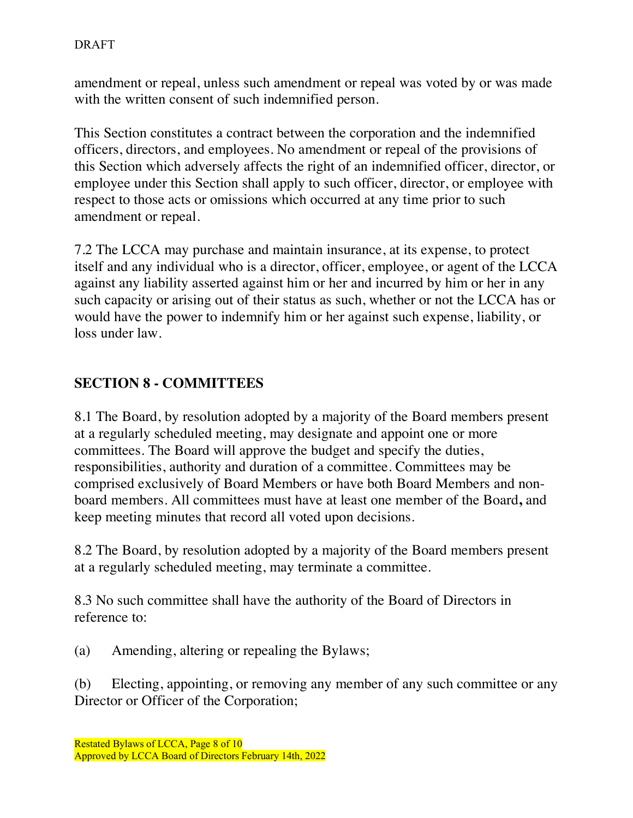amendment or repeal, unless such amendment or repeal was voted by or was made with the written consent of such indemnified person.

This Section constitutes a contract between the corporation and the indemnified officers, directors, and employees. No amendment or repeal of the provisions of this Section which adversely affects the right of an indemnified officer, director, or employee under this Section shall apply to such officer, director, or employee with respect to those acts or omissions which occurred at any time prior to such amendment or repeal.

7.2 The LCCA may purchase and maintain insurance, at its expense, to protect itself and any individual who is a director, officer, employee, or agent of the LCCA against any liability asserted against him or her and incurred by him or her in any such capacity or arising out of their status as such, whether or not the LCCA has or would have the power to indemnify him or her against such expense, liability, or loss under law.

## **SECTION 8 - COMMITTEES**

8.1 The Board, by resolution adopted by a majority of the Board members present at a regularly scheduled meeting, may designate and appoint one or more committees. The Board will approve the budget and specify the duties, responsibilities, authority and duration of a committee. Committees may be comprised exclusively of Board Members or have both Board Members and nonboard members. All committees must have at least one member of the Board**,** and keep meeting minutes that record all voted upon decisions.

8.2 The Board, by resolution adopted by a majority of the Board members present at a regularly scheduled meeting, may terminate a committee.

8.3 No such committee shall have the authority of the Board of Directors in reference to:

(a) Amending, altering or repealing the Bylaws;

(b) Electing, appointing, or removing any member of any such committee or any Director or Officer of the Corporation;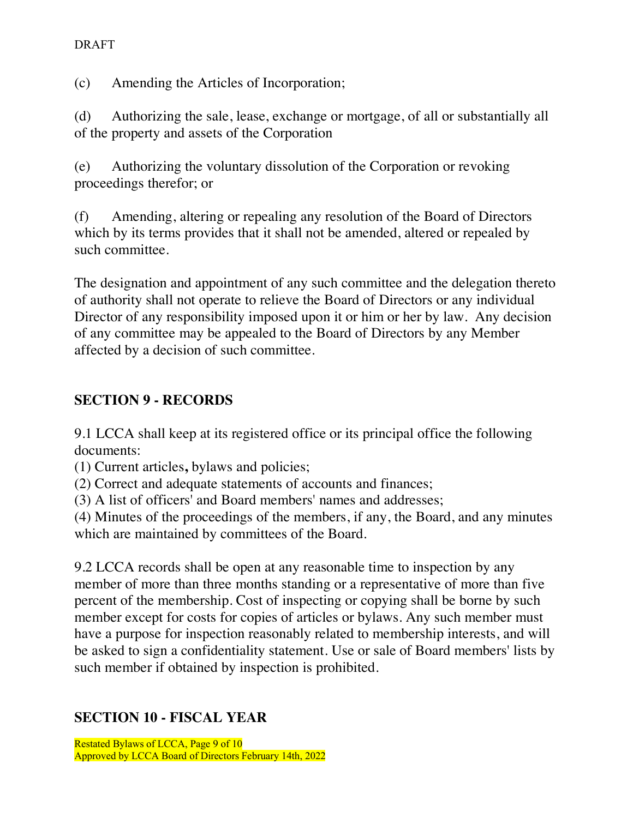(c) Amending the Articles of Incorporation;

(d) Authorizing the sale, lease, exchange or mortgage, of all or substantially all of the property and assets of the Corporation

(e) Authorizing the voluntary dissolution of the Corporation or revoking proceedings therefor; or

(f) Amending, altering or repealing any resolution of the Board of Directors which by its terms provides that it shall not be amended, altered or repealed by such committee.

The designation and appointment of any such committee and the delegation thereto of authority shall not operate to relieve the Board of Directors or any individual Director of any responsibility imposed upon it or him or her by law. Any decision of any committee may be appealed to the Board of Directors by any Member affected by a decision of such committee.

## **SECTION 9 - RECORDS**

9.1 LCCA shall keep at its registered office or its principal office the following documents:

(1) Current articles**,** bylaws and policies;

(2) Correct and adequate statements of accounts and finances;

(3) A list of officers' and Board members' names and addresses;

(4) Minutes of the proceedings of the members, if any, the Board, and any minutes which are maintained by committees of the Board.

9.2 LCCA records shall be open at any reasonable time to inspection by any member of more than three months standing or a representative of more than five percent of the membership. Cost of inspecting or copying shall be borne by such member except for costs for copies of articles or bylaws. Any such member must have a purpose for inspection reasonably related to membership interests, and will be asked to sign a confidentiality statement. Use or sale of Board members' lists by such member if obtained by inspection is prohibited.

#### **SECTION 10 - FISCAL YEAR**